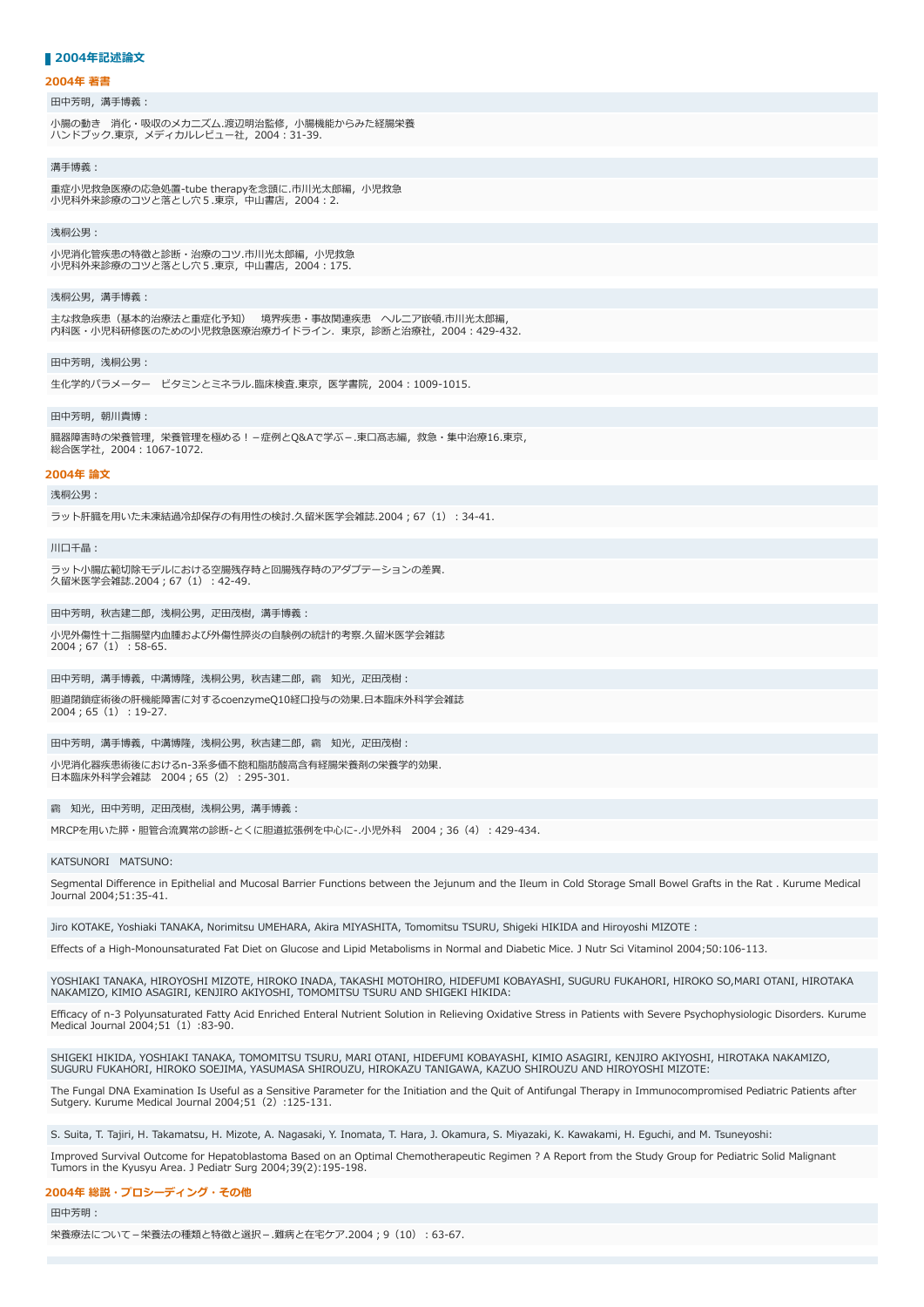## ■ 2004年記述論文

#### **2004年 著書**

# 田中芳明,溝手博義:

小腸の動き 消化・吸収のメカニズム.渡辺明治監修,小腸機能からみた経腸栄養 ハンドブック.東京,メディカルレビュー社,2004︓31-39.

#### **溝手博義**・

重症小児救急医療の応急処置-tube therapyを念頭に.市川光太郎編, 小児救急<br>小児科外来診療のコツと落とし穴5.東京, 中山書店, 2004:2.

#### 浅桐公男:

小児消化管疾患の特徴と診断・治療のコツ.市川光太郎編,小児救急 ⼩児科外来診療のコツと落とし⽳5.東京,中⼭書店,2004︓175.

## 浅桐公男,溝手博義:

主な救急疾患(基本的治療法と重症化予知) 境界疾患・事故関連疾患 ヘルニア嵌頓.市川光太郎編, 内科医・⼩児科研修医のための⼩児救急医療治療ガイドライン.東京,診断と治療社,2004︓429-432.

### 田中芳明, 浅桐公男:

生化学的パラメーター ビタミンとミネラル.臨床検査.東京, 医学書院, 2004:1009-1015.

#### 田中芳明, 朝川貴博;

臓器障害時の栄養管理,栄養管理を極める! –症例とQ&Aで学ぶ –.東口髙志編,救急・集中治療16.東京, 総合医学社,2004︓1067-1072.

## **2004年 論⽂**

進掘公里·

ラット肝臓を用いた未凍結過冷却保存の有用性の検討.久留米医学会雑誌.2004:67 (1):34-41.

#### 川口千晶:

ラット小腸広範切除モデルにおける空腸残存時と回腸残存時のアダプテーションの差異. 久留米医学会雑誌.2004; 67 (1) : 42-49.

#### 田中芳明, 秋吉建二郎, 浅桐公男, 疋田茂樹, 溝手博義:

小児外傷性十二指腸壁内血腫および外傷性膵炎の自験例の統計的考察.久留米医学会雑誌 2004; 67 (1) : 58-65.

## 田中芳明,溝手博義,中溝博隆,浅桐公男,秋吉建二郎,靏 知光,疋田茂樹:

胆道閉鎖症術後の肝機能障害に対するcoenzymeQ10経⼝投与の効果.⽇本臨床外科学会雑誌  $2004:65(1):19-27.$ 

#### 田中芳明,溝手博義,中溝博隆,浅桐公男,秋吉建二郎,靏 知光,疋田茂樹:

小児消化器疾患術後におけるn-3系多価不飽和脂肪酸高含有経腸栄養剤の栄養学的効果. 日本臨床外科学会雑誌 2004;65 (2):295-301.

## 靏 知光, 田中芳明, 疋田茂樹, 浅桐公男, 溝手博義:

MRCPを用いた膵・胆管合流異常の診断-とくに胆道拡張例を中心に-.小児外科 2004:36 (4):429-434.

#### KATSUNORI MATSUNO:

Segmental Difference in Epithelial and Mucosal Barrier Functions between the Jejunum and the Ileum in Cold Storage Small Bowel Grafts in the Rat . Kurume Medical Journal 2004;51:35-41.

Jiro KOTAKE, Yoshiaki TANAKA, Norimitsu UMEHARA, Akira MIYASHITA, Tomomitsu TSURU, Shigeki HIKIDA and Hiroyoshi MIZOTE :

Effects of a High-Monounsaturated Fat Diet on Glucose and Lipid Metabolisms in Normal and Diabetic Mice. J Nutr Sci Vitaminol 2004;50:106-113.

YOSHIAKI TANAKA, HIROYOSHI MIZOTE, HIROKO INADA, TAKASHI MOTOHIRO, HIDEFUMI KOBAYASHI, SUGURU FUKAHORI, HIROKO SO,MARI OTANI, HIROTAKA NAKAMIZO, KIMIO ASAGIRI, KENJIRO AKIYOSHI, TOMOMITSU TSURU AND SHIGEKI HIKIDA:

Efficacy of n-3 Polyunsaturated Fatty Acid Enriched Enteral Nutrient Solution in Relieving Oxidative Stress in Patients with Severe Psychophysiologic Disorders. Kurume Medical Journal 2004;51 (1):83-90.

SHIGEKI HIKIDA, YOSHIAKI TANAKA, TOMOMITSU TSURU, MARI OTANI, HIDEFUMI KOBAYASHI, KIMIO ASAGIRI, KENJIRO AKIYOSHI, HIROTAKA NAKAMIZO,<br>SUGURU FUKAHORI, HIROKO SOEJIMA, YASUMASA SHIROUZU, HIROKAZU TANIGAWA, KAZUO SHIROUZU AN

The Fungal DNA Examination Is Useful as a Sensitive Parameter for the Initiation and the Quit of Antifungal Therapy in Immunocompromised Pediatric Patients after Sutgery. Kurume Medical Journal 2004;51(2):125-131.

S. Suita, T. Tajiri, H. Takamatsu, H. Mizote, A. Nagasaki, Y. Inomata, T. Hara, J. Okamura, S. Miyazaki, K. Kawakami, H. Eguchi, and M. Tsuneyoshi:

Improved Survival Outcome for Hepatoblastoma Based on an Optimal Chemotherapeutic Regimen ? A Report from the Study Group for Pediatric Solid Malignant Tumors in the Kyusyu Area. J Pediatr Surg 2004;39(2):195-198.

#### **2004年 総説・プロシーディング・その他**

田中芳明:

栄養療法について-栄養法の種類と特徴と選択-.難病と在宅ケア.2004;9 (10):63-67.